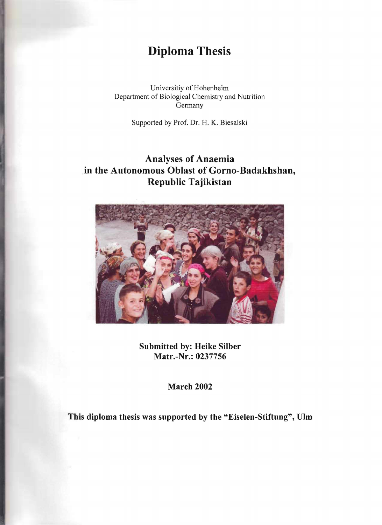## **Diploma Thesis**

Universitiy of Hohenheim Department of Biological Chemistry and Nutrition Germany

Supported by Prof. Dr. H. K. Biesalski

## **Analyses of Anaemia in the Autonomous Oblast of Gorno-Badakhshan, Republic Tajikistan**



Submitted by: Heike Silber **Matr.-Nr.: 0237756** 

**March 2002** 

This diploma thesis was supported by the "Eiselen-Stiftung", Ulm